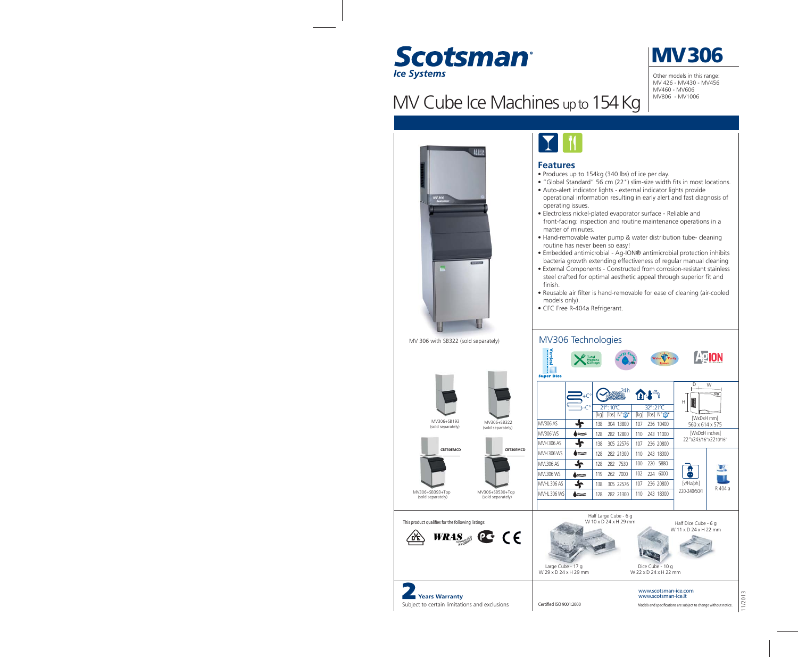

MV Cube Ice Machines up to 154 Kg



Other models in this range: MV 426 - MV430 - MV456 MV460 - MV606 MV806 - MV1006